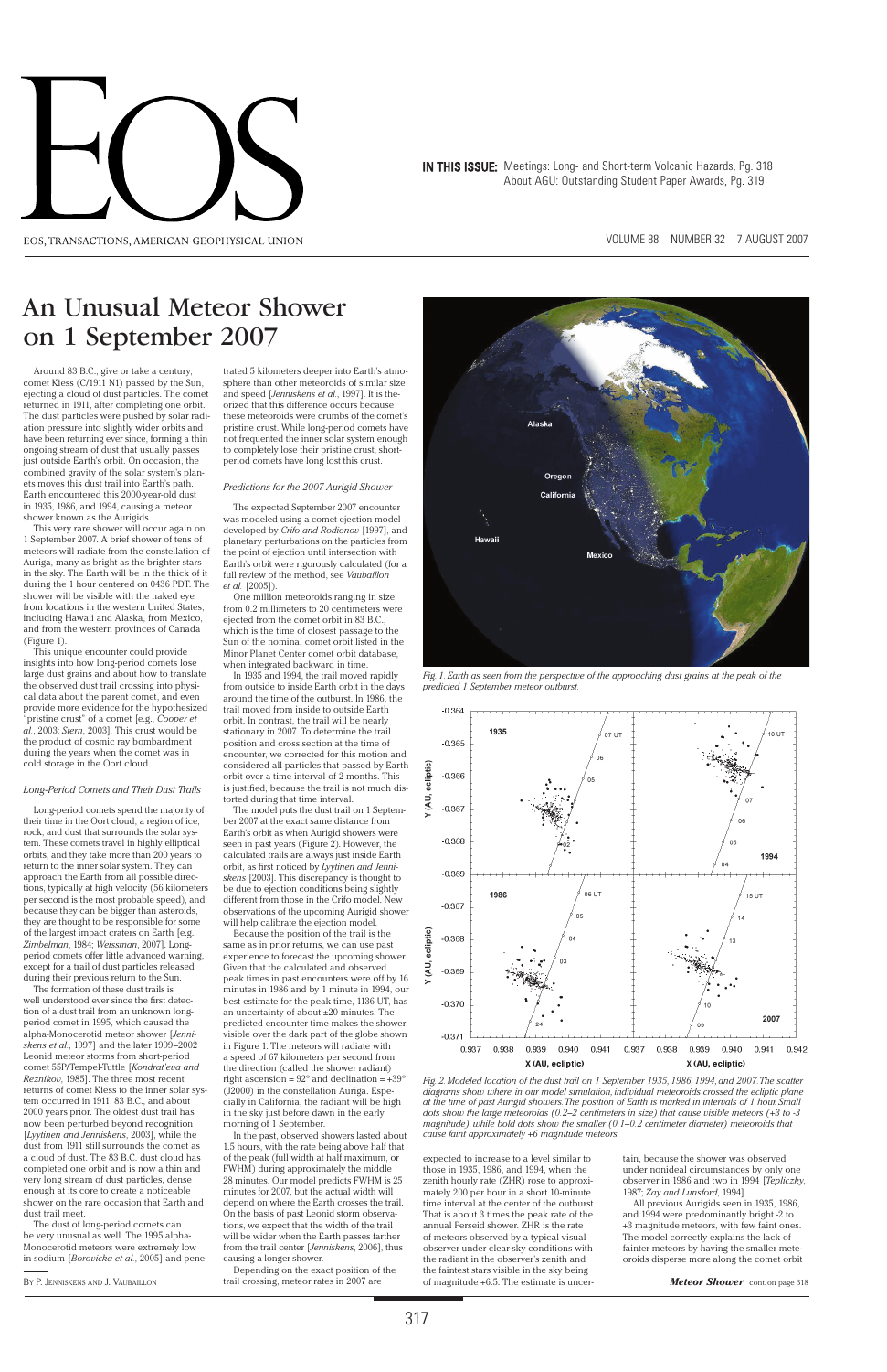VOLUME 88 NUMBER 32 7 AUGUST 2007



IN THIS ISSUE: Meetings: Long- and Short-term Volcanic Hazards, Pg. 318 About AGU: Outstanding Student Paper Awards, Pg. 319

Around 83 B.C., give or take a century, comet Kiess (C/1911 N1) passed by the Sun, ejecting a cloud of dust particles. The comet returned in 1911, after completing one orbit. The dust particles were pushed by solar radiation pressure into slightly wider orbits and have been returning ever since, forming a thin ongoing stream of dust that usually passes just outside Earth's orbit. On occasion, the combined gravity of the solar system's planets moves this dust trail into Earth's path. Earth encountered this 2000-year-old dust in 1935, 1986, and 1994, causing a meteor shower known as the Aurigids.

This very rare shower will occur again on 1 September 2007. A brief shower of tens of meteors will radiate from the constellation of Auriga, many as bright as the brighter stars in the sky. The Earth will be in the thick of it during the 1 hour centered on 0436 PDT. The shower will be visible with the naked eye from locations in the western United States, including Hawaii and Alaska, from Mexico, and from the western provinces of Canada (Figure 1).

The formation of these dust trails is well understood ever since the first detec-

This unique encounter could provide insights into how long-period comets lose large dust grains and about how to translate the observed dust trail crossing into physical data about the parent comet, and even provide more evidence for the hypothesized "pristine crust" of a comet [e.g., *Cooper et al.*, 2003; *Stern*, 2003]. This crust would be the product of cosmic ray bombardment during the years when the comet was in cold storage in the Oort cloud.

## *Long-Period Comets and Their Dust Trails*

Long-period comets spend the majority of their time in the Oort cloud, a region of ice, rock, and dust that surrounds the solar system. These comets travel in highly elliptical orbits, and they take more than 200 years to return to the inner solar system. They can approach the Earth from all possible directions, typically at high velocity (56 kilometers per second is the most probable speed), and, because they can be bigger than asteroids, they are thought to be responsible for some of the largest impact craters on Earth [e.g., *Zimbelman*, 1984; *Weissman*, 2007]. Longperiod comets offer little advanced warning, except for a trail of dust particles released during their previous return to the Sun.

tion of a dust trail from an unknown longperiod comet in 1995, which caused the alpha-Monocerotid meteor shower [*Jenniskens et al.*, 1997] and the later 1999–2002 Leonid meteor storms from short-period comet 55P/Tempel-Tuttle [*Kondrat'eva and Reznikov*, 1985]. The three most recent returns of comet Kiess to the inner solar system occurred in 1911, 83 B.C., and about 2000 years prior. The oldest dust trail has now been perturbed beyond recognition [*Lyytinen and Jenniskens*, 2003], while the dust from 1911 still surrounds the comet as a cloud of dust. The 83 B.C. dust cloud has completed one orbit and is now a thin and very long stream of dust particles, dense enough at its core to create a noticeable shower on the rare occasion that Earth and dust trail meet.

The dust of long-period comets can be very unusual as well. The 1995 alpha-Monocerotid meteors were extremely low in sodium [*Borovicka et al.*, 2005] and pene-

trated 5 kilometers deeper into Earth's atmosphere than other meteoroids of similar size and speed [*Jenniskens et al.*, 1997]. It is theorized that this difference occurs because these meteoroids were crumbs of the comet's pristine crust. While long-period comets have not frequented the inner solar system enough to completely lose their pristine crust, shortperiod comets have long lost this crust.

### *Predictions for the 2007 Aurigid Shower*

The expected September 2007 encounter was modeled using a comet ejection model developed by *Crifo and Rodionov* [1997], and planetary perturbations on the particles from the point of ejection until intersection with Earth's orbit were rigorously calculated (for a full review of the method, see *Vaubaillon et al.* [2005]).

One million meteoroids ranging in size from 0.2 millimeters to 20 centimeters were ejected from the comet orbit in 83 B.C., which is the time of closest passage to the Sun of the nominal comet orbit listed in the Minor Planet Center comet orbit database, when integrated backward in time.

In 1935 and 1994, the trail moved rapidly from outside to inside Earth orbit in the days around the time of the outburst. In 1986, the trail moved from inside to outside Earth orbit. In contrast, the trail will be nearly stationary in 2007. To determine the trail position and cross section at the time of encounter, we corrected for this motion and considered all particles that passed by Earth orbit over a time interval of 2 months. This is justified, because the trail is not much distorted during that time interval.

The model puts the dust trail on 1 September 2007 at the exact same distance from Earth's orbit as when Aurigid showers were seen in past years (Figure 2). However, the calculated trails are always just inside Earth orbit, as first noticed by Lyytinen and Jenni*skens* [2003]. This discrepancy is thought to be due to ejection conditions being slightly different from those in the Crifo model. New observations of the upcoming Aurigid shower will help calibrate the ejection model.

Because the position of the trail is the same as in prior returns, we can use past experience to forecast the upcoming shower. Given that the calculated and observed peak times in past encounters were off by 16 minutes in 1986 and by 1 minute in 1994, our best estimate for the peak time, 1136 UT, has an uncertainty of about ±20 minutes. The predicted encounter time makes the shower visible over the dark part of the globe shown in Figure 1. The meteors will radiate with a speed of 67 kilometers per second from the direction (called the shower radiant) right ascension =  $92^\circ$  and declination =  $+39^\circ$ (J2000) in the constellation Auriga. Especially in California, the radiant will be high in the sky just before dawn in the early morning of 1 September. In the past, observed showers lasted about 1.5 hours, with the rate being above half that of the peak (full width at half maximum, or FWHM) during approximately the middle 28 minutes. Our model predicts FWHM is 25 minutes for 2007, but the actual width will depend on where the Earth crosses the trail. On the basis of past Leonid storm observations, we expect that the width of the trail will be wider when the Earth passes farther from the trail center [*Jenniskens*, 2006], thus causing a longer shower.

expected to increase to a level similar to those in 1935, 1986, and 1994, when the zenith hourly rate (ZHR) rose to approximately 200 per hour in a short 10-minute time interval at the center of the outburst. That is about 3 times the peak rate of the annual Perseid shower. ZHR is the rate of meteors observed by a typical visual observer under clear-sky conditions with the radiant in the observer's zenith and the faintest stars visible in the sky being

tain, because the shower was observed under nonideal circumstances by only one observer in 1986 and two in 1994 [*Tepliczky*, 1987; *Zay and Lunsford*, 1994].

All previous Aurigids seen in 1935, 1986, and 1994 were predominantly bright -2 to +3 magnitude meteors, with few faint ones. The model correctly explains the lack of fainter meteors by having the smaller meteoroids disperse more along the comet orbit

Depending on the exact position of the trail crossing, meteor rates in 2007 are of magnitude +6.5. The estimate is uncer-BY P. JENNISKENS AND J. VAUBAILLON *Meteor Shower* cont. on page 318

# An Unusual Meteor Shower on 1 September 2007



*Fig. 1. Earth as seen from the perspective of the approaching dust grains at the peak of the predicted 1 September meteor outburst.* 



*Fig. 2. Modeled location of the dust trail on 1 September 1935, 1986, 1994, and 2007. The scatter diagrams show where, in our model simulation, individual meteoroids crossed the ecliptic plane at the time of past Aurigid showers. The position of Earth is marked in intervals of 1 hour. Small dots show the large meteoroids (0.2–2 centimeters in size) that cause visible meteors (+3 to -3 magnitude), while bold dots show the smaller (0.1–0.2 centimeter diameter) meteoroids that cause faint approximately +6 magnitude meteors.*